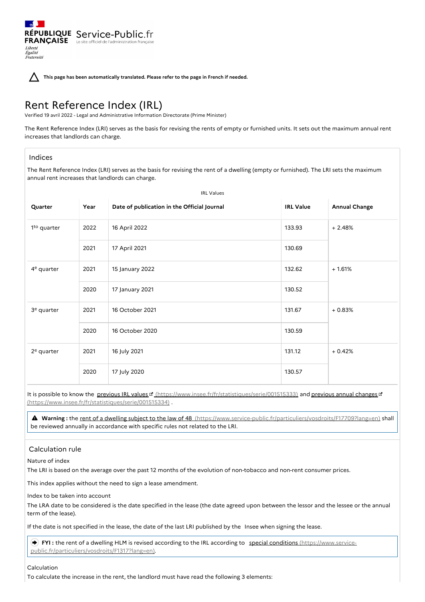**This page has been automatically translated. Please refer to the page in French if needed.**

# Rent Reference Index (IRL)

RÉPUBLIQUE Service-Public.fr **FRANÇAISE** Le site officiel de l'administration franç

Verified 19 avril 2022 - Legal and Administrative Information Directorate (Prime Minister)

The Rent Reference Index (LRI) serves as the basis for revising the rents of empty or furnished units. It sets out the maximum annual rent increases that landlords can charge.

# Indices

Liberté Égalité<br>Fraternité

The Rent Reference Index (LRI) serves as the basis for revising the rent of a dwelling (empty or furnished). The LRI sets the maximum annual rent increases that landlords can charge.

| <b>IRL Values</b>       |      |                                             |                  |                      |
|-------------------------|------|---------------------------------------------|------------------|----------------------|
| Quarter                 | Year | Date of publication in the Official Journal | <b>IRL Value</b> | <b>Annual Change</b> |
| 1 <sup>to</sup> quarter | 2022 | 16 April 2022                               | 133.93           | $+2.48%$             |
|                         | 2021 | 17 April 2021                               | 130.69           |                      |
| 4 <sup>e</sup> quarter  | 2021 | 15 January 2022                             | 132.62           | $+1.61%$             |
|                         | 2020 | 17 January 2021                             | 130.52           |                      |
| 3 <sup>e</sup> quarter  | 2021 | 16 October 2021                             | 131.67           | $+0.83%$             |
|                         | 2020 | 16 October 2020                             | 130.59           |                      |
| $2e$ quarter            | 2021 | 16 July 2021                                | 131.12           | $+0.42%$             |
|                         | 2020 | 17 July 2020                                | 130.57           |                      |

It is possible to know the previous IRL values [8] [\(https://www.insee.fr/fr/statistiques/serie/001515333\)](https://www.insee.fr/fr/statistiques/serie/001515333) and previous annual changes [8] (https://www.insee.fr/fr/statistiques/serie/001515334) .

 **Warning :** the rent of <sup>a</sup> dwelling subject to the law of <sup>48</sup> [\(https://www.service-public.fr/particuliers/vosdroits/F17709?lang=en\)](https://www.service-public.fr/particuliers/vosdroits/F17709?lang=en) shall be reviewed annually in accordance with specific rules not related to the LRI.

# Calculation rule

Nature of index

The LRI is based on the average over the past 12 months of the evolution of non-tobacco and non-rent consumer prices.

This index applies without the need to sign a lease amendment.

Index to be taken into account

The LRA date to be considered is the date specified in the lease (the date agreed upon between the lessor and the lessee or the annual term of the lease).

If the date is not specified in the lease, the date of the last LRI published by the Insee when signing the lease.

FYI **:** the rent of a dwelling HLM is revised according to the IRL according to special conditions (https://www.service[public.fr/particuliers/vosdroits/F1317?lang=en\).](https://www.service-public.fr/particuliers/vosdroits/F1317?lang=en)

### Calculation

To calculate the increase in the rent, the landlord must have read the following 3 elements: